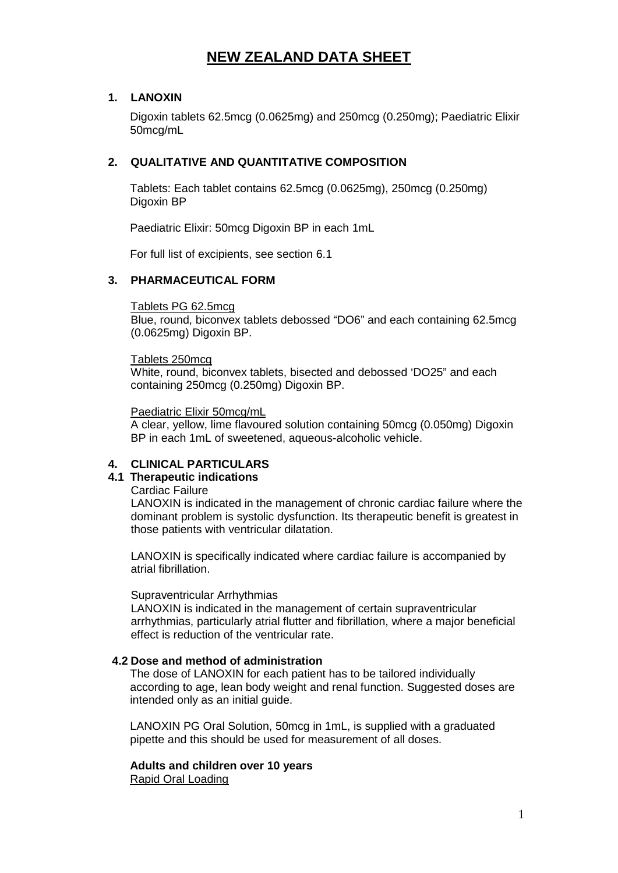# **NEW ZEALAND DATA SHEET**

## **1. LANOXIN**

Digoxin tablets 62.5mcg (0.0625mg) and 250mcg (0.250mg); Paediatric Elixir 50mcg/mL

## **2. QUALITATIVE AND QUANTITATIVE COMPOSITION**

Tablets: Each tablet contains 62.5mcg (0.0625mg), 250mcg (0.250mg) Digoxin BP

Paediatric Elixir: 50mcg Digoxin BP in each 1mL

For full list of excipients, see section 6.1

## **3. PHARMACEUTICAL FORM**

## Tablets PG 62.5mcg

Blue, round, biconvex tablets debossed "DO6" and each containing 62.5mcg (0.0625mg) Digoxin BP.

## Tablets 250mcg

White, round, biconvex tablets, bisected and debossed 'DO25" and each containing 250mcg (0.250mg) Digoxin BP.

## Paediatric Elixir 50mcg/mL

A clear, yellow, lime flavoured solution containing 50mcg (0.050mg) Digoxin BP in each 1mL of sweetened, aqueous-alcoholic vehicle.

## **4. CLINICAL PARTICULARS**

## **4.1 Therapeutic indications**

Cardiac Failure

LANOXIN is indicated in the management of chronic cardiac failure where the dominant problem is systolic dysfunction. Its therapeutic benefit is greatest in those patients with ventricular dilatation.

LANOXIN is specifically indicated where cardiac failure is accompanied by atrial fibrillation.

## Supraventricular Arrhythmias

LANOXIN is indicated in the management of certain supraventricular arrhythmias, particularly atrial flutter and fibrillation, where a major beneficial effect is reduction of the ventricular rate.

## **4.2 Dose and method of administration**

The dose of LANOXIN for each patient has to be tailored individually according to age, lean body weight and renal function. Suggested doses are intended only as an initial guide.

LANOXIN PG Oral Solution, 50mcg in 1mL, is supplied with a graduated pipette and this should be used for measurement of all doses.

**Adults and children over 10 years** Rapid Oral Loading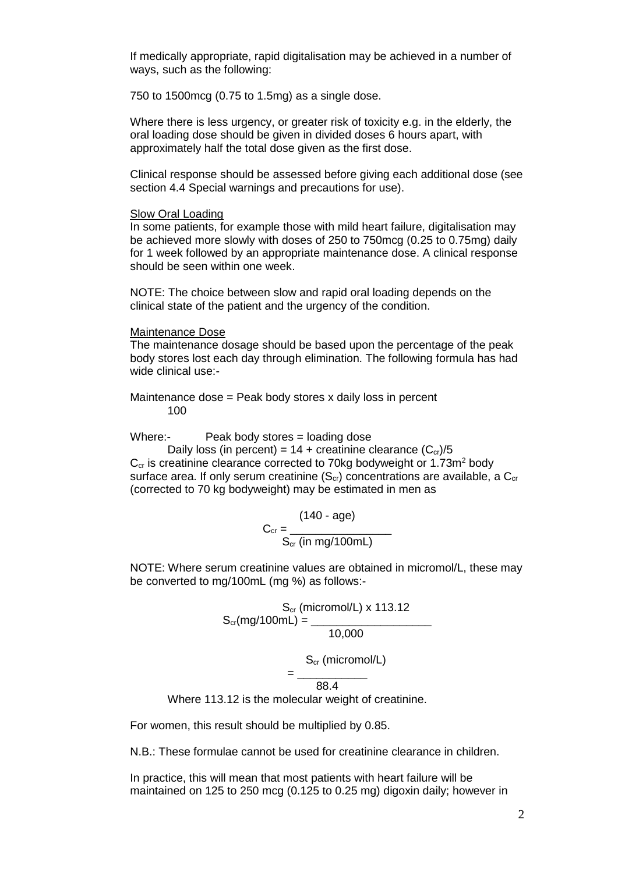If medically appropriate, rapid digitalisation may be achieved in a number of ways, such as the following:

750 to 1500mcg (0.75 to 1.5mg) as a single dose.

Where there is less urgency, or greater risk of toxicity e.g. in the elderly, the oral loading dose should be given in divided doses 6 hours apart, with approximately half the total dose given as the first dose.

Clinical response should be assessed before giving each additional dose (see section 4.4 Special warnings and precautions for use).

#### Slow Oral Loading

In some patients, for example those with mild heart failure, digitalisation may be achieved more slowly with doses of 250 to 750mcg (0.25 to 0.75mg) daily for 1 week followed by an appropriate maintenance dose. A clinical response should be seen within one week.

NOTE: The choice between slow and rapid oral loading depends on the clinical state of the patient and the urgency of the condition.

#### Maintenance Dose

The maintenance dosage should be based upon the percentage of the peak body stores lost each day through elimination. The following formula has had wide clinical use:-

Maintenance dose = Peak body stores x daily loss in percent 100

Where:- Peak body stores = loading dose

Daily loss (in percent) =  $14 +$  creatinine clearance  $(C_{cr})/5$  $C_{cr}$  is creatinine clearance corrected to 70kg bodyweight or 1.73 $m<sup>2</sup>$  body surface area. If only serum creatinine  $(S_{cr})$  concentrations are available, a  $C_{cr}$ (corrected to 70 kg bodyweight) may be estimated in men as

$$
C_{cr} = \frac{(140 - age)}{S_{cr} (in mg/100mL)}
$$

NOTE: Where serum creatinine values are obtained in micromol/L, these may be converted to mg/100mL (mg %) as follows:-

> S<sub>cr</sub> (micromol/L) x 113.12 S<sub>cr</sub>(mg/100mL) = \_\_\_\_\_\_\_\_\_\_\_\_\_\_\_\_\_\_\_\_\_\_\_\_ 10,000

> > S<sub>cr</sub> (micromol/L)

= \_\_\_\_\_\_\_\_\_\_\_ 88.4

Where 113.12 is the molecular weight of creatinine.

For women, this result should be multiplied by 0.85.

N.B.: These formulae cannot be used for creatinine clearance in children.

In practice, this will mean that most patients with heart failure will be maintained on 125 to 250 mcg (0.125 to 0.25 mg) digoxin daily; however in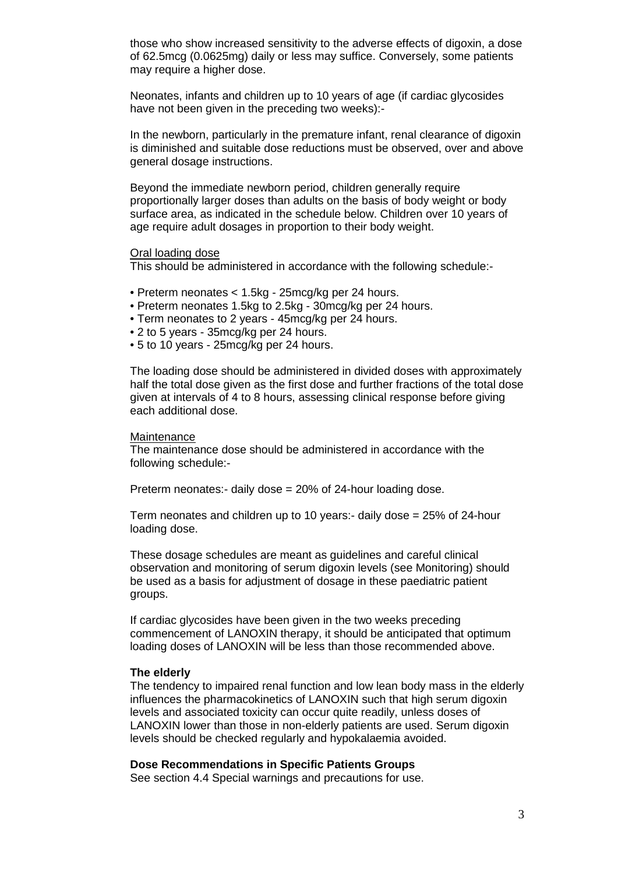those who show increased sensitivity to the adverse effects of digoxin, a dose of 62.5mcg (0.0625mg) daily or less may suffice. Conversely, some patients may require a higher dose.

Neonates, infants and children up to 10 years of age (if cardiac glycosides have not been given in the preceding two weeks):-

In the newborn, particularly in the premature infant, renal clearance of digoxin is diminished and suitable dose reductions must be observed, over and above general dosage instructions.

Beyond the immediate newborn period, children generally require proportionally larger doses than adults on the basis of body weight or body surface area, as indicated in the schedule below. Children over 10 years of age require adult dosages in proportion to their body weight.

#### Oral loading dose

This should be administered in accordance with the following schedule:-

- Preterm neonates < 1.5kg 25mcg/kg per 24 hours.
- Preterm neonates 1.5kg to 2.5kg 30mcg/kg per 24 hours.
- Term neonates to 2 years 45mcg/kg per 24 hours.
- 2 to 5 years 35mcg/kg per 24 hours.
- 5 to 10 years 25mcg/kg per 24 hours.

The loading dose should be administered in divided doses with approximately half the total dose given as the first dose and further fractions of the total dose given at intervals of 4 to 8 hours, assessing clinical response before giving each additional dose.

#### **Maintenance**

The maintenance dose should be administered in accordance with the following schedule:-

Preterm neonates:- daily dose = 20% of 24-hour loading dose.

Term neonates and children up to 10 years:- daily dose = 25% of 24-hour loading dose.

These dosage schedules are meant as guidelines and careful clinical observation and monitoring of serum digoxin levels (see Monitoring) should be used as a basis for adjustment of dosage in these paediatric patient groups.

If cardiac glycosides have been given in the two weeks preceding commencement of LANOXIN therapy, it should be anticipated that optimum loading doses of LANOXIN will be less than those recommended above.

## **The elderly**

The tendency to impaired renal function and low lean body mass in the elderly influences the pharmacokinetics of LANOXIN such that high serum digoxin levels and associated toxicity can occur quite readily, unless doses of LANOXIN lower than those in non-elderly patients are used. Serum digoxin levels should be checked regularly and hypokalaemia avoided.

## **Dose Recommendations in Specific Patients Groups**

See section 4.4 Special warnings and precautions for use.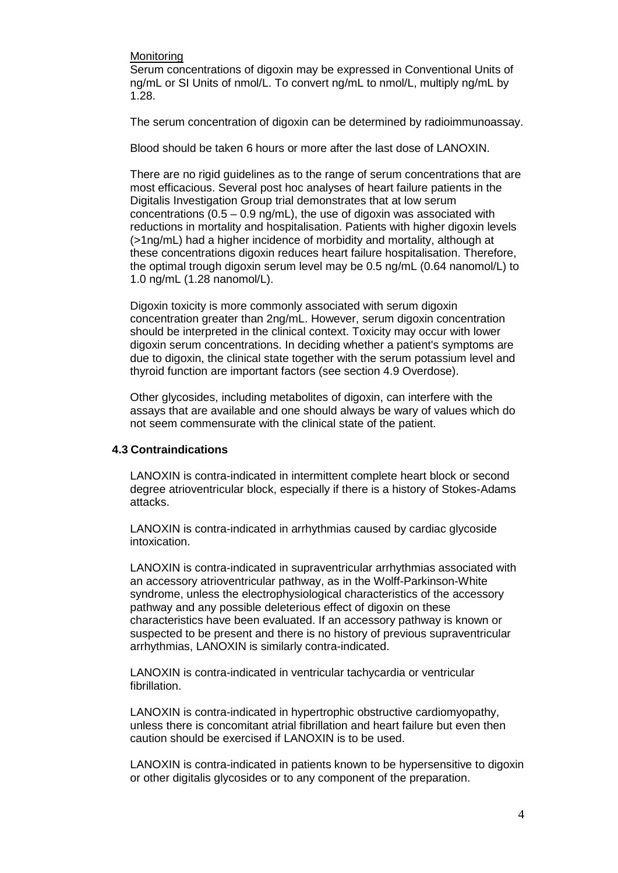#### **Monitoring**

Serum concentrations of digoxin may be expressed in Conventional Units of ng/mL or SI Units of nmol/L. To convert ng/mL to nmol/L, multiply ng/mL by 1.28.

The serum concentration of digoxin can be determined by radioimmunoassay.

Blood should be taken 6 hours or more after the last dose of LANOXIN.

There are no rigid guidelines as to the range of serum concentrations that are most efficacious. Several post hoc analyses of heart failure patients in the Digitalis Investigation Group trial demonstrates that at low serum concentrations  $(0.5 - 0.9 \text{ ng/mL})$ , the use of digoxin was associated with reductions in mortality and hospitalisation. Patients with higher digoxin levels (>1ng/mL) had a higher incidence of morbidity and mortality, although at these concentrations digoxin reduces heart failure hospitalisation. Therefore, the optimal trough digoxin serum level may be 0.5 ng/mL (0.64 nanomol/L) to 1.0 ng/mL (1.28 nanomol/L).

Digoxin toxicity is more commonly associated with serum digoxin concentration greater than 2ng/mL. However, serum digoxin concentration should be interpreted in the clinical context. Toxicity may occur with lower digoxin serum concentrations. In deciding whether a patient's symptoms are due to digoxin, the clinical state together with the serum potassium level and thyroid function are important factors (see section 4.9 Overdose).

Other glycosides, including metabolites of digoxin, can interfere with the assays that are available and one should always be wary of values which do not seem commensurate with the clinical state of the patient.

## **4.3 Contraindications**

LANOXIN is contra-indicated in intermittent complete heart block or second degree atrioventricular block, especially if there is a history of Stokes-Adams attacks.

LANOXIN is contra-indicated in arrhythmias caused by cardiac glycoside intoxication.

LANOXIN is contra-indicated in supraventricular arrhythmias associated with an accessory atrioventricular pathway, as in the Wolff-Parkinson-White syndrome, unless the electrophysiological characteristics of the accessory pathway and any possible deleterious effect of digoxin on these characteristics have been evaluated. If an accessory pathway is known or suspected to be present and there is no history of previous supraventricular arrhythmias, LANOXIN is similarly contra-indicated.

LANOXIN is contra-indicated in ventricular tachycardia or ventricular fibrillation.

LANOXIN is contra-indicated in hypertrophic obstructive cardiomyopathy, unless there is concomitant atrial fibrillation and heart failure but even then caution should be exercised if LANOXIN is to be used.

LANOXIN is contra-indicated in patients known to be hypersensitive to digoxin or other digitalis glycosides or to any component of the preparation.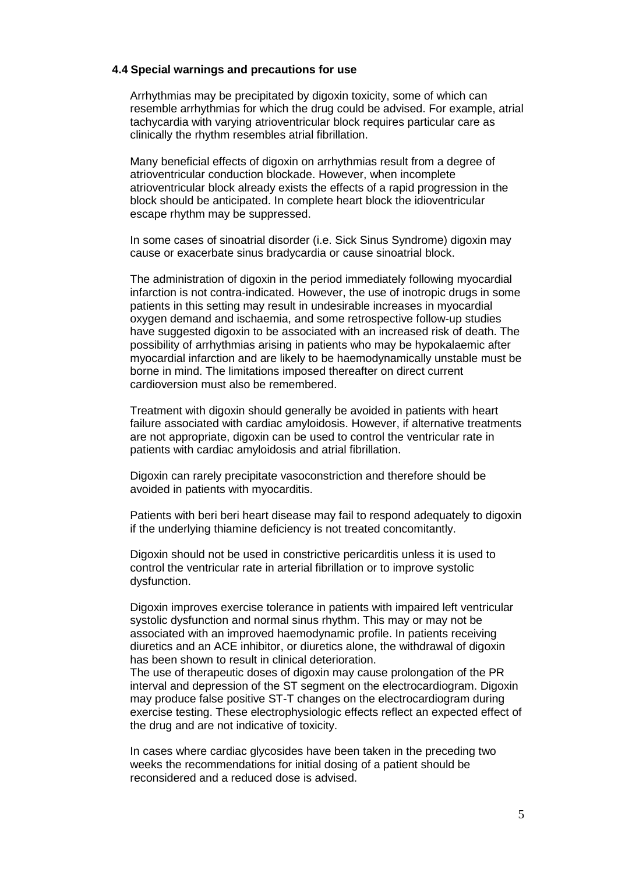#### **4.4 Special warnings and precautions for use**

Arrhythmias may be precipitated by digoxin toxicity, some of which can resemble arrhythmias for which the drug could be advised. For example, atrial tachycardia with varying atrioventricular block requires particular care as clinically the rhythm resembles atrial fibrillation.

Many beneficial effects of digoxin on arrhythmias result from a degree of atrioventricular conduction blockade. However, when incomplete atrioventricular block already exists the effects of a rapid progression in the block should be anticipated. In complete heart block the idioventricular escape rhythm may be suppressed.

In some cases of sinoatrial disorder (i.e. Sick Sinus Syndrome) digoxin may cause or exacerbate sinus bradycardia or cause sinoatrial block.

The administration of digoxin in the period immediately following myocardial infarction is not contra-indicated. However, the use of inotropic drugs in some patients in this setting may result in undesirable increases in myocardial oxygen demand and ischaemia, and some retrospective follow-up studies have suggested digoxin to be associated with an increased risk of death. The possibility of arrhythmias arising in patients who may be hypokalaemic after myocardial infarction and are likely to be haemodynamically unstable must be borne in mind. The limitations imposed thereafter on direct current cardioversion must also be remembered.

Treatment with digoxin should generally be avoided in patients with heart failure associated with cardiac amyloidosis. However, if alternative treatments are not appropriate, digoxin can be used to control the ventricular rate in patients with cardiac amyloidosis and atrial fibrillation.

Digoxin can rarely precipitate vasoconstriction and therefore should be avoided in patients with myocarditis.

Patients with beri beri heart disease may fail to respond adequately to digoxin if the underlying thiamine deficiency is not treated concomitantly.

Digoxin should not be used in constrictive pericarditis unless it is used to control the ventricular rate in arterial fibrillation or to improve systolic dysfunction.

Digoxin improves exercise tolerance in patients with impaired left ventricular systolic dysfunction and normal sinus rhythm. This may or may not be associated with an improved haemodynamic profile. In patients receiving diuretics and an ACE inhibitor, or diuretics alone, the withdrawal of digoxin has been shown to result in clinical deterioration.

The use of therapeutic doses of digoxin may cause prolongation of the PR interval and depression of the ST segment on the electrocardiogram. Digoxin may produce false positive ST-T changes on the electrocardiogram during exercise testing. These electrophysiologic effects reflect an expected effect of the drug and are not indicative of toxicity.

In cases where cardiac glycosides have been taken in the preceding two weeks the recommendations for initial dosing of a patient should be reconsidered and a reduced dose is advised.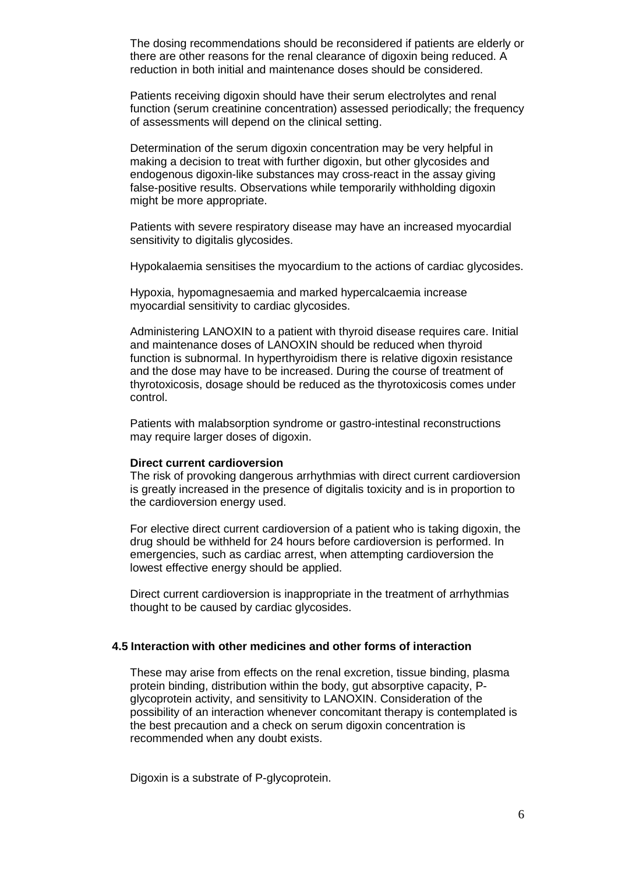The dosing recommendations should be reconsidered if patients are elderly or there are other reasons for the renal clearance of digoxin being reduced. A reduction in both initial and maintenance doses should be considered.

Patients receiving digoxin should have their serum electrolytes and renal function (serum creatinine concentration) assessed periodically; the frequency of assessments will depend on the clinical setting.

Determination of the serum digoxin concentration may be very helpful in making a decision to treat with further digoxin, but other glycosides and endogenous digoxin-like substances may cross-react in the assay giving false-positive results. Observations while temporarily withholding digoxin might be more appropriate.

Patients with severe respiratory disease may have an increased myocardial sensitivity to digitalis glycosides.

Hypokalaemia sensitises the myocardium to the actions of cardiac glycosides.

Hypoxia, hypomagnesaemia and marked hypercalcaemia increase myocardial sensitivity to cardiac glycosides.

Administering LANOXIN to a patient with thyroid disease requires care. Initial and maintenance doses of LANOXIN should be reduced when thyroid function is subnormal. In hyperthyroidism there is relative digoxin resistance and the dose may have to be increased. During the course of treatment of thyrotoxicosis, dosage should be reduced as the thyrotoxicosis comes under control.

Patients with malabsorption syndrome or gastro-intestinal reconstructions may require larger doses of digoxin.

#### **Direct current cardioversion**

The risk of provoking dangerous arrhythmias with direct current cardioversion is greatly increased in the presence of digitalis toxicity and is in proportion to the cardioversion energy used.

For elective direct current cardioversion of a patient who is taking digoxin, the drug should be withheld for 24 hours before cardioversion is performed. In emergencies, such as cardiac arrest, when attempting cardioversion the lowest effective energy should be applied.

Direct current cardioversion is inappropriate in the treatment of arrhythmias thought to be caused by cardiac glycosides.

## **4.5 Interaction with other medicines and other forms of interaction**

These may arise from effects on the renal excretion, tissue binding, plasma protein binding, distribution within the body, gut absorptive capacity, Pglycoprotein activity, and sensitivity to LANOXIN. Consideration of the possibility of an interaction whenever concomitant therapy is contemplated is the best precaution and a check on serum digoxin concentration is recommended when any doubt exists.

Digoxin is a substrate of P-glycoprotein.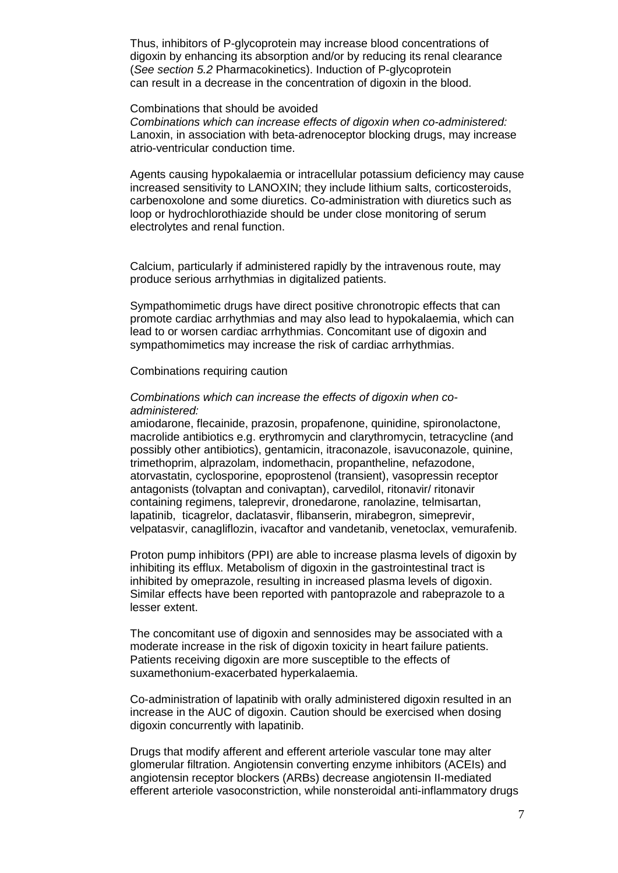Thus, inhibitors of P-glycoprotein may increase blood concentrations of digoxin by enhancing its absorption and/or by reducing its renal clearance (*See section 5.2* Pharmacokinetics). Induction of P-glycoprotein can result in a decrease in the concentration of digoxin in the blood.

#### Combinations that should be avoided

*Combinations which can increase effects of digoxin when co-administered:* Lanoxin, in association with beta-adrenoceptor blocking drugs, may increase atrio-ventricular conduction time.

Agents causing hypokalaemia or intracellular potassium deficiency may cause increased sensitivity to LANOXIN; they include lithium salts, corticosteroids, carbenoxolone and some diuretics. Co-administration with diuretics such as loop or hydrochlorothiazide should be under close monitoring of serum electrolytes and renal function.

Calcium, particularly if administered rapidly by the intravenous route, may produce serious arrhythmias in digitalized patients.

Sympathomimetic drugs have direct positive chronotropic effects that can promote cardiac arrhythmias and may also lead to hypokalaemia, which can lead to or worsen cardiac arrhythmias. Concomitant use of digoxin and sympathomimetics may increase the risk of cardiac arrhythmias.

Combinations requiring caution

#### *Combinations which can increase the effects of digoxin when coadministered:*

amiodarone, flecainide, prazosin, propafenone, quinidine, spironolactone, macrolide antibiotics e.g. erythromycin and clarythromycin, tetracycline (and possibly other antibiotics), gentamicin, itraconazole, isavuconazole, quinine, trimethoprim, alprazolam, indomethacin, propantheline, nefazodone, atorvastatin, cyclosporine, epoprostenol (transient), vasopressin receptor antagonists (tolvaptan and conivaptan), carvedilol, ritonavir/ ritonavir containing regimens, taleprevir, dronedarone, ranolazine, telmisartan, lapatinib, ticagrelor, daclatasvir, flibanserin, mirabegron, simeprevir, velpatasvir, canagliflozin, ivacaftor and vandetanib, venetoclax, vemurafenib.

Proton pump inhibitors (PPI) are able to increase plasma levels of digoxin by inhibiting its efflux. Metabolism of digoxin in the gastrointestinal tract is inhibited by omeprazole, resulting in increased plasma levels of digoxin. Similar effects have been reported with pantoprazole and rabeprazole to a lesser extent.

The concomitant use of digoxin and sennosides may be associated with a moderate increase in the risk of digoxin toxicity in heart failure patients. Patients receiving digoxin are more susceptible to the effects of suxamethonium-exacerbated hyperkalaemia.

Co-administration of lapatinib with orally administered digoxin resulted in an increase in the AUC of digoxin. Caution should be exercised when dosing digoxin concurrently with lapatinib.

Drugs that modify afferent and efferent arteriole vascular tone may alter glomerular filtration. Angiotensin converting enzyme inhibitors (ACEIs) and angiotensin receptor blockers (ARBs) decrease angiotensin II-mediated efferent arteriole vasoconstriction, while nonsteroidal anti-inflammatory drugs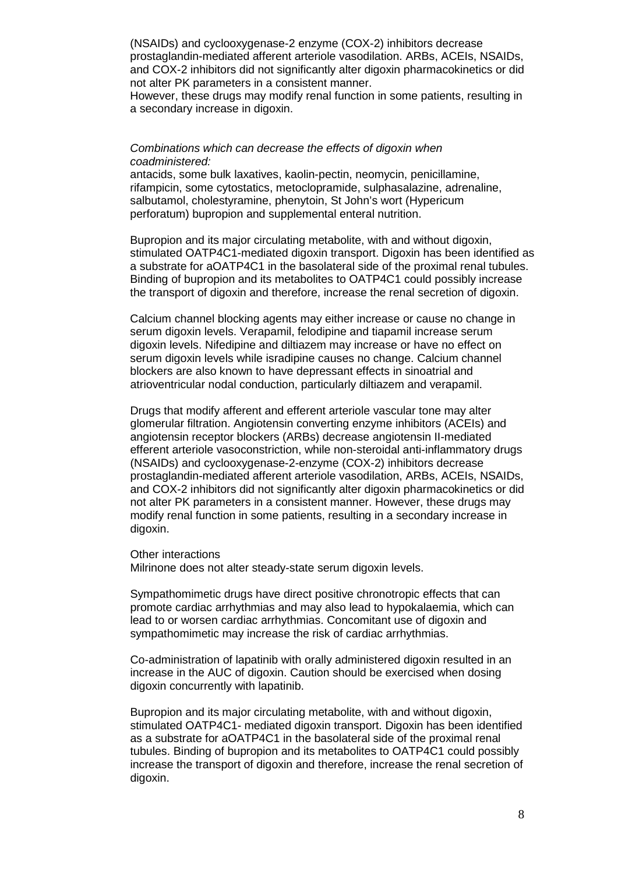(NSAIDs) and cyclooxygenase-2 enzyme (COX-2) inhibitors decrease prostaglandin-mediated afferent arteriole vasodilation. ARBs, ACEIs, NSAIDs, and COX-2 inhibitors did not significantly alter digoxin pharmacokinetics or did not alter PK parameters in a consistent manner.

However, these drugs may modify renal function in some patients, resulting in a secondary increase in digoxin.

#### *Combinations which can decrease the effects of digoxin when coadministered:*

antacids, some bulk laxatives, kaolin-pectin, neomycin, penicillamine, rifampicin, some cytostatics, metoclopramide, sulphasalazine, adrenaline, salbutamol, cholestyramine, phenytoin, St John's wort (Hypericum perforatum) bupropion and supplemental enteral nutrition.

Bupropion and its major circulating metabolite, with and without digoxin, stimulated OATP4C1-mediated digoxin transport. Digoxin has been identified as a substrate for aOATP4C1 in the basolateral side of the proximal renal tubules. Binding of bupropion and its metabolites to OATP4C1 could possibly increase the transport of digoxin and therefore, increase the renal secretion of digoxin.

Calcium channel blocking agents may either increase or cause no change in serum digoxin levels. Verapamil, felodipine and tiapamil increase serum digoxin levels. Nifedipine and diltiazem may increase or have no effect on serum digoxin levels while isradipine causes no change. Calcium channel blockers are also known to have depressant effects in sinoatrial and atrioventricular nodal conduction, particularly diltiazem and verapamil.

Drugs that modify afferent and efferent arteriole vascular tone may alter glomerular filtration. Angiotensin converting enzyme inhibitors (ACEIs) and angiotensin receptor blockers (ARBs) decrease angiotensin II-mediated efferent arteriole vasoconstriction, while non-steroidal anti-inflammatory drugs (NSAIDs) and cyclooxygenase-2-enzyme (COX-2) inhibitors decrease prostaglandin-mediated afferent arteriole vasodilation, ARBs, ACEIs, NSAIDs, and COX-2 inhibitors did not significantly alter digoxin pharmacokinetics or did not alter PK parameters in a consistent manner. However, these drugs may modify renal function in some patients, resulting in a secondary increase in digoxin.

Other interactions

Milrinone does not alter steady-state serum digoxin levels.

Sympathomimetic drugs have direct positive chronotropic effects that can promote cardiac arrhythmias and may also lead to hypokalaemia, which can lead to or worsen cardiac arrhythmias. Concomitant use of digoxin and sympathomimetic may increase the risk of cardiac arrhythmias.

Co-administration of lapatinib with orally administered digoxin resulted in an increase in the AUC of digoxin. Caution should be exercised when dosing digoxin concurrently with lapatinib.

Bupropion and its major circulating metabolite, with and without digoxin, stimulated OATP4C1- mediated digoxin transport. Digoxin has been identified as a substrate for aOATP4C1 in the basolateral side of the proximal renal tubules. Binding of bupropion and its metabolites to OATP4C1 could possibly increase the transport of digoxin and therefore, increase the renal secretion of digoxin.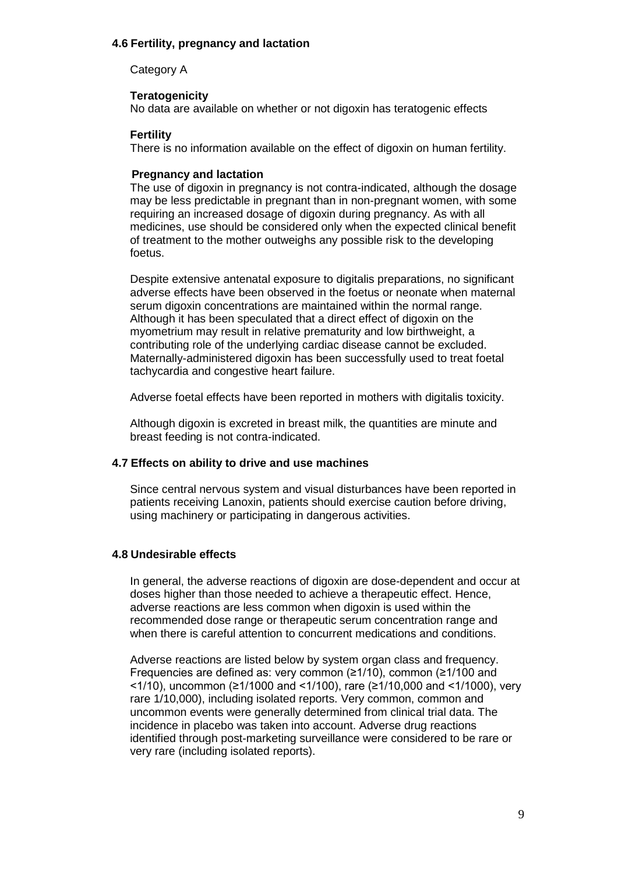## **4.6 Fertility, pregnancy and lactation**

Category A

**Teratogenicity** No data are available on whether or not digoxin has teratogenic effects

## **Fertility**

There is no information available on the effect of digoxin on human fertility.

## **Pregnancy and lactation**

The use of digoxin in pregnancy is not contra-indicated, although the dosage may be less predictable in pregnant than in non-pregnant women, with some requiring an increased dosage of digoxin during pregnancy. As with all medicines, use should be considered only when the expected clinical benefit of treatment to the mother outweighs any possible risk to the developing foetus.

Despite extensive antenatal exposure to digitalis preparations, no significant adverse effects have been observed in the foetus or neonate when maternal serum digoxin concentrations are maintained within the normal range. Although it has been speculated that a direct effect of digoxin on the myometrium may result in relative prematurity and low birthweight, a contributing role of the underlying cardiac disease cannot be excluded. Maternally-administered digoxin has been successfully used to treat foetal tachycardia and congestive heart failure.

Adverse foetal effects have been reported in mothers with digitalis toxicity.

Although digoxin is excreted in breast milk, the quantities are minute and breast feeding is not contra-indicated.

## **4.7 Effects on ability to drive and use machines**

Since central nervous system and visual disturbances have been reported in patients receiving Lanoxin, patients should exercise caution before driving, using machinery or participating in dangerous activities.

## **4.8 Undesirable effects**

In general, the adverse reactions of digoxin are dose-dependent and occur at doses higher than those needed to achieve a therapeutic effect. Hence, adverse reactions are less common when digoxin is used within the recommended dose range or therapeutic serum concentration range and when there is careful attention to concurrent medications and conditions.

Adverse reactions are listed below by system organ class and frequency. Frequencies are defined as: very common (≥1/10), common (≥1/100 and <1/10), uncommon (≥1/1000 and <1/100), rare (≥1/10,000 and <1/1000), very rare 1/10,000), including isolated reports. Very common, common and uncommon events were generally determined from clinical trial data. The incidence in placebo was taken into account. Adverse drug reactions identified through post-marketing surveillance were considered to be rare or very rare (including isolated reports).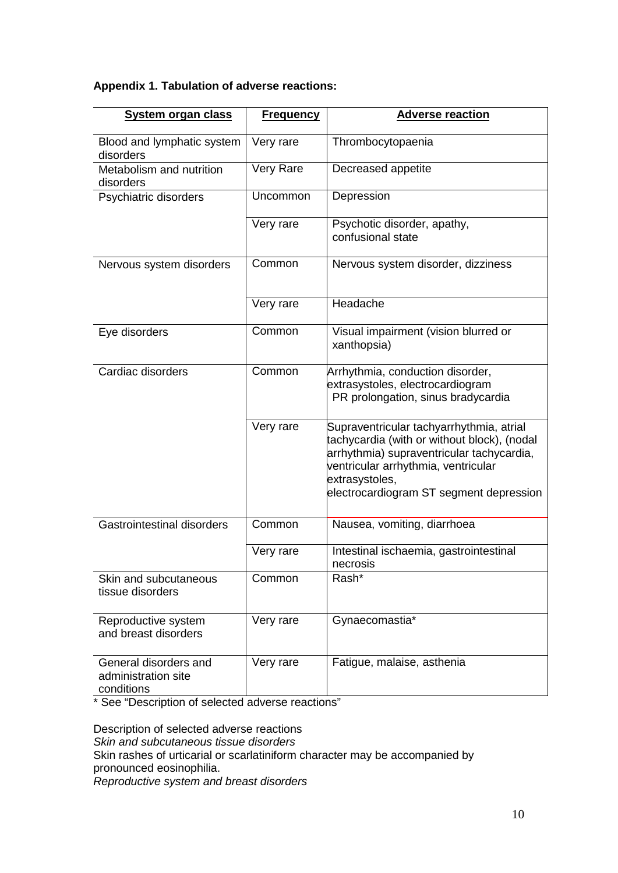# **Appendix 1. Tabulation of adverse reactions:**

| <b>System organ class</b>                                  | <b>Frequency</b> | <b>Adverse reaction</b>                                                                                                                                                                                                                  |
|------------------------------------------------------------|------------------|------------------------------------------------------------------------------------------------------------------------------------------------------------------------------------------------------------------------------------------|
| Blood and lymphatic system<br>disorders                    | Very rare        | Thrombocytopaenia                                                                                                                                                                                                                        |
| Metabolism and nutrition<br>disorders                      | Very Rare        | Decreased appetite                                                                                                                                                                                                                       |
| Psychiatric disorders                                      | Uncommon         | Depression                                                                                                                                                                                                                               |
|                                                            | Very rare        | Psychotic disorder, apathy,<br>confusional state                                                                                                                                                                                         |
| Nervous system disorders                                   | Common           | Nervous system disorder, dizziness                                                                                                                                                                                                       |
|                                                            | Very rare        | Headache                                                                                                                                                                                                                                 |
| Eye disorders                                              | Common           | Visual impairment (vision blurred or<br>xanthopsia)                                                                                                                                                                                      |
| Cardiac disorders                                          | Common           | Arrhythmia, conduction disorder,<br>extrasystoles, electrocardiogram<br>PR prolongation, sinus bradycardia                                                                                                                               |
|                                                            | Very rare        | Supraventricular tachyarrhythmia, atrial<br>tachycardia (with or without block), (nodal<br>arrhythmia) supraventricular tachycardia,<br>ventricular arrhythmia, ventricular<br>extrasystoles,<br>electrocardiogram ST segment depression |
| <b>Gastrointestinal disorders</b>                          | Common           | Nausea, vomiting, diarrhoea                                                                                                                                                                                                              |
|                                                            | Very rare        | Intestinal ischaemia, gastrointestinal<br>necrosis                                                                                                                                                                                       |
| Skin and subcutaneous<br>tissue disorders                  | Common           | Rash*                                                                                                                                                                                                                                    |
| Reproductive system<br>and breast disorders                | Very rare        | Gynaecomastia*                                                                                                                                                                                                                           |
| General disorders and<br>administration site<br>conditions | Very rare        | Fatigue, malaise, asthenia                                                                                                                                                                                                               |

\* See "Description of selected adverse reactions"

Description of selected adverse reactions *Skin and subcutaneous tissue disorders* Skin rashes of urticarial or scarlatiniform character may be accompanied by pronounced eosinophilia. *Reproductive system and breast disorders*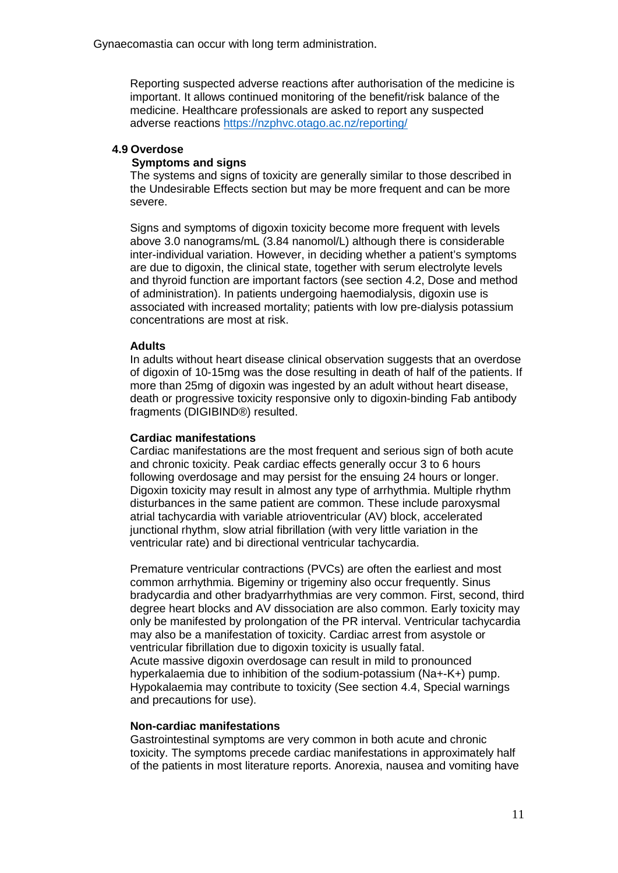Gynaecomastia can occur with long term administration.

Reporting suspected adverse reactions after authorisation of the medicine is important. It allows continued monitoring of the benefit/risk balance of the medicine. Healthcare professionals are asked to report any suspected adverse reactions<https://nzphvc.otago.ac.nz/reporting/>

## **4.9 Overdose**

## **Symptoms and signs**

The systems and signs of toxicity are generally similar to those described in the Undesirable Effects section but may be more frequent and can be more severe.

Signs and symptoms of digoxin toxicity become more frequent with levels above 3.0 nanograms/mL (3.84 nanomol/L) although there is considerable inter-individual variation. However, in deciding whether a patient's symptoms are due to digoxin, the clinical state, together with serum electrolyte levels and thyroid function are important factors (see section 4.2, Dose and method of administration). In patients undergoing haemodialysis, digoxin use is associated with increased mortality; patients with low pre-dialysis potassium concentrations are most at risk.

## **Adults**

In adults without heart disease clinical observation suggests that an overdose of digoxin of 10-15mg was the dose resulting in death of half of the patients. If more than 25mg of digoxin was ingested by an adult without heart disease, death or progressive toxicity responsive only to digoxin-binding Fab antibody fragments (DIGIBIND®) resulted.

## **Cardiac manifestations**

Cardiac manifestations are the most frequent and serious sign of both acute and chronic toxicity. Peak cardiac effects generally occur 3 to 6 hours following overdosage and may persist for the ensuing 24 hours or longer. Digoxin toxicity may result in almost any type of arrhythmia. Multiple rhythm disturbances in the same patient are common. These include paroxysmal atrial tachycardia with variable atrioventricular (AV) block, accelerated junctional rhythm, slow atrial fibrillation (with very little variation in the ventricular rate) and bi directional ventricular tachycardia.

Premature ventricular contractions (PVCs) are often the earliest and most common arrhythmia. Bigeminy or trigeminy also occur frequently. Sinus bradycardia and other bradyarrhythmias are very common. First, second, third degree heart blocks and AV dissociation are also common. Early toxicity may only be manifested by prolongation of the PR interval. Ventricular tachycardia may also be a manifestation of toxicity. Cardiac arrest from asystole or ventricular fibrillation due to digoxin toxicity is usually fatal. Acute massive digoxin overdosage can result in mild to pronounced hyperkalaemia due to inhibition of the sodium-potassium (Na+-K+) pump. Hypokalaemia may contribute to toxicity (See section 4.4, Special warnings and precautions for use).

## **Non-cardiac manifestations**

Gastrointestinal symptoms are very common in both acute and chronic toxicity. The symptoms precede cardiac manifestations in approximately half of the patients in most literature reports. Anorexia, nausea and vomiting have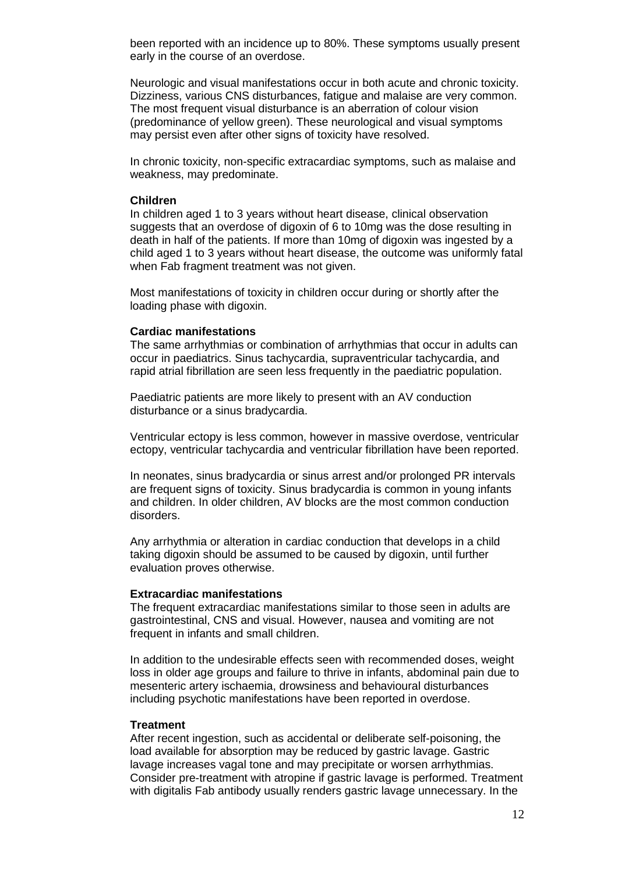been reported with an incidence up to 80%. These symptoms usually present early in the course of an overdose.

Neurologic and visual manifestations occur in both acute and chronic toxicity. Dizziness, various CNS disturbances, fatigue and malaise are very common. The most frequent visual disturbance is an aberration of colour vision (predominance of yellow green). These neurological and visual symptoms may persist even after other signs of toxicity have resolved.

In chronic toxicity, non-specific extracardiac symptoms, such as malaise and weakness, may predominate.

#### **Children**

In children aged 1 to 3 years without heart disease, clinical observation suggests that an overdose of digoxin of 6 to 10mg was the dose resulting in death in half of the patients. If more than 10mg of digoxin was ingested by a child aged 1 to 3 years without heart disease, the outcome was uniformly fatal when Fab fragment treatment was not given.

Most manifestations of toxicity in children occur during or shortly after the loading phase with digoxin.

#### **Cardiac manifestations**

The same arrhythmias or combination of arrhythmias that occur in adults can occur in paediatrics. Sinus tachycardia, supraventricular tachycardia, and rapid atrial fibrillation are seen less frequently in the paediatric population.

Paediatric patients are more likely to present with an AV conduction disturbance or a sinus bradycardia.

Ventricular ectopy is less common, however in massive overdose, ventricular ectopy, ventricular tachycardia and ventricular fibrillation have been reported.

In neonates, sinus bradycardia or sinus arrest and/or prolonged PR intervals are frequent signs of toxicity. Sinus bradycardia is common in young infants and children. In older children, AV blocks are the most common conduction disorders.

Any arrhythmia or alteration in cardiac conduction that develops in a child taking digoxin should be assumed to be caused by digoxin, until further evaluation proves otherwise.

#### **Extracardiac manifestations**

The frequent extracardiac manifestations similar to those seen in adults are gastrointestinal, CNS and visual. However, nausea and vomiting are not frequent in infants and small children.

In addition to the undesirable effects seen with recommended doses, weight loss in older age groups and failure to thrive in infants, abdominal pain due to mesenteric artery ischaemia, drowsiness and behavioural disturbances including psychotic manifestations have been reported in overdose.

#### **Treatment**

After recent ingestion, such as accidental or deliberate self-poisoning, the load available for absorption may be reduced by gastric lavage. Gastric lavage increases vagal tone and may precipitate or worsen arrhythmias. Consider pre-treatment with atropine if gastric lavage is performed. Treatment with digitalis Fab antibody usually renders gastric lavage unnecessary. In the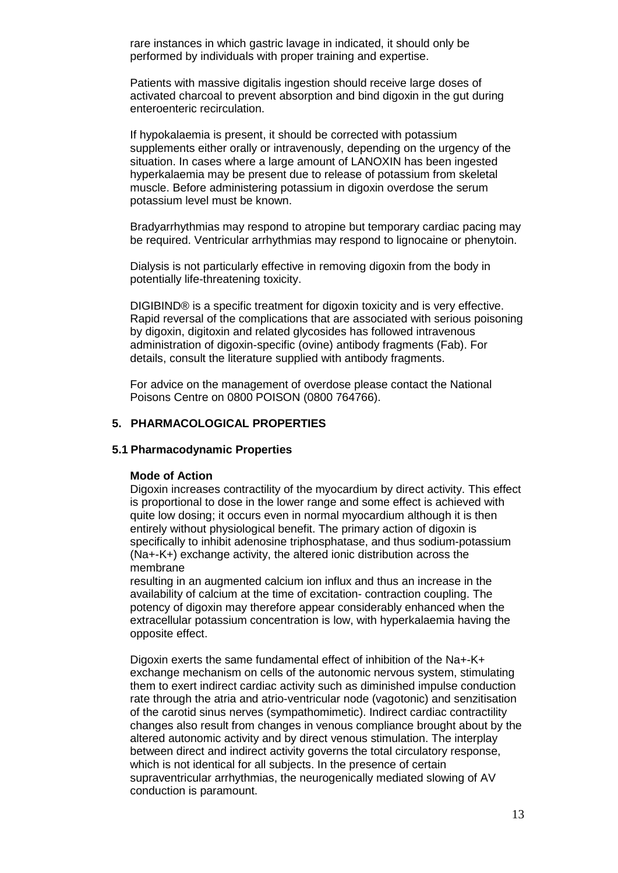rare instances in which gastric lavage in indicated, it should only be performed by individuals with proper training and expertise.

Patients with massive digitalis ingestion should receive large doses of activated charcoal to prevent absorption and bind digoxin in the gut during enteroenteric recirculation.

If hypokalaemia is present, it should be corrected with potassium supplements either orally or intravenously, depending on the urgency of the situation. In cases where a large amount of LANOXIN has been ingested hyperkalaemia may be present due to release of potassium from skeletal muscle. Before administering potassium in digoxin overdose the serum potassium level must be known.

Bradyarrhythmias may respond to atropine but temporary cardiac pacing may be required. Ventricular arrhythmias may respond to lignocaine or phenytoin.

Dialysis is not particularly effective in removing digoxin from the body in potentially life-threatening toxicity.

DIGIBIND® is a specific treatment for digoxin toxicity and is very effective. Rapid reversal of the complications that are associated with serious poisoning by digoxin, digitoxin and related glycosides has followed intravenous administration of digoxin-specific (ovine) antibody fragments (Fab). For details, consult the literature supplied with antibody fragments.

For advice on the management of overdose please contact the National Poisons Centre on 0800 POISON (0800 764766).

## **5. PHARMACOLOGICAL PROPERTIES**

## **5.1 Pharmacodynamic Properties**

## **Mode of Action**

Digoxin increases contractility of the myocardium by direct activity. This effect is proportional to dose in the lower range and some effect is achieved with quite low dosing; it occurs even in normal myocardium although it is then entirely without physiological benefit. The primary action of digoxin is specifically to inhibit adenosine triphosphatase, and thus sodium-potassium (Na+-K+) exchange activity, the altered ionic distribution across the membrane

resulting in an augmented calcium ion influx and thus an increase in the availability of calcium at the time of excitation- contraction coupling. The potency of digoxin may therefore appear considerably enhanced when the extracellular potassium concentration is low, with hyperkalaemia having the opposite effect.

Digoxin exerts the same fundamental effect of inhibition of the Na+-K+ exchange mechanism on cells of the autonomic nervous system, stimulating them to exert indirect cardiac activity such as diminished impulse conduction rate through the atria and atrio-ventricular node (vagotonic) and senzitisation of the carotid sinus nerves (sympathomimetic). Indirect cardiac contractility changes also result from changes in venous compliance brought about by the altered autonomic activity and by direct venous stimulation. The interplay between direct and indirect activity governs the total circulatory response, which is not identical for all subjects. In the presence of certain supraventricular arrhythmias, the neurogenically mediated slowing of AV conduction is paramount.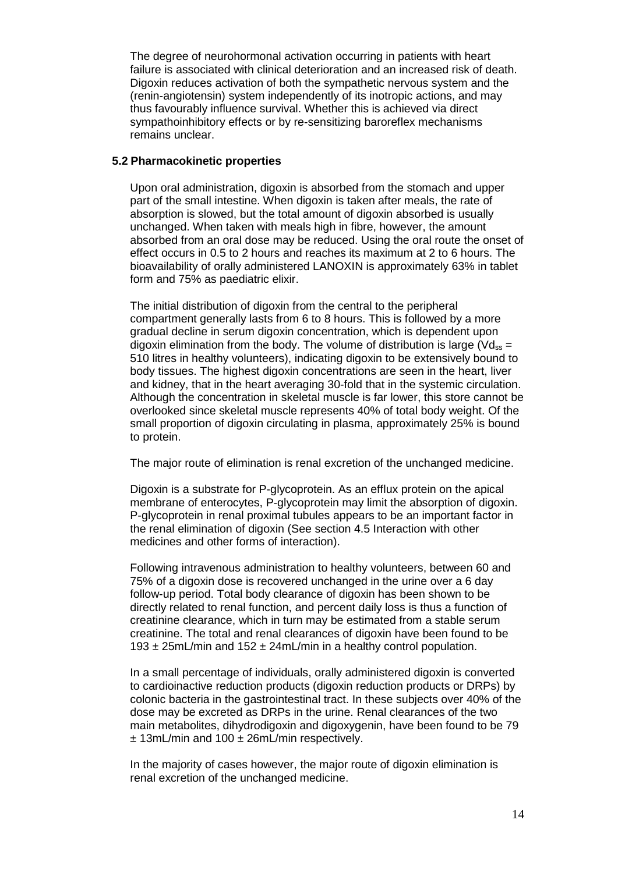The degree of neurohormonal activation occurring in patients with heart failure is associated with clinical deterioration and an increased risk of death. Digoxin reduces activation of both the sympathetic nervous system and the (renin-angiotensin) system independently of its inotropic actions, and may thus favourably influence survival. Whether this is achieved via direct sympathoinhibitory effects or by re-sensitizing baroreflex mechanisms remains unclear.

## **5.2 Pharmacokinetic properties**

Upon oral administration, digoxin is absorbed from the stomach and upper part of the small intestine. When digoxin is taken after meals, the rate of absorption is slowed, but the total amount of digoxin absorbed is usually unchanged. When taken with meals high in fibre, however, the amount absorbed from an oral dose may be reduced. Using the oral route the onset of effect occurs in 0.5 to 2 hours and reaches its maximum at 2 to 6 hours. The bioavailability of orally administered LANOXIN is approximately 63% in tablet form and 75% as paediatric elixir.

The initial distribution of digoxin from the central to the peripheral compartment generally lasts from 6 to 8 hours. This is followed by a more gradual decline in serum digoxin concentration, which is dependent upon digoxin elimination from the body. The volume of distribution is large ( $Vd_{ss}$  = 510 litres in healthy volunteers), indicating digoxin to be extensively bound to body tissues. The highest digoxin concentrations are seen in the heart, liver and kidney, that in the heart averaging 30-fold that in the systemic circulation. Although the concentration in skeletal muscle is far lower, this store cannot be overlooked since skeletal muscle represents 40% of total body weight. Of the small proportion of digoxin circulating in plasma, approximately 25% is bound to protein.

The major route of elimination is renal excretion of the unchanged medicine.

Digoxin is a substrate for P-glycoprotein. As an efflux protein on the apical membrane of enterocytes, P-glycoprotein may limit the absorption of digoxin. P-glycoprotein in renal proximal tubules appears to be an important factor in the renal elimination of digoxin (See section 4.5 Interaction with other medicines and other forms of interaction).

Following intravenous administration to healthy volunteers, between 60 and 75% of a digoxin dose is recovered unchanged in the urine over a 6 day follow-up period. Total body clearance of digoxin has been shown to be directly related to renal function, and percent daily loss is thus a function of creatinine clearance, which in turn may be estimated from a stable serum creatinine. The total and renal clearances of digoxin have been found to be 193 ± 25mL/min and 152 ± 24mL/min in a healthy control population.

In a small percentage of individuals, orally administered digoxin is converted to cardioinactive reduction products (digoxin reduction products or DRPs) by colonic bacteria in the gastrointestinal tract. In these subjects over 40% of the dose may be excreted as DRPs in the urine. Renal clearances of the two main metabolites, dihydrodigoxin and digoxygenin, have been found to be 79 ± 13mL/min and 100 ± 26mL/min respectively.

In the majority of cases however, the major route of digoxin elimination is renal excretion of the unchanged medicine.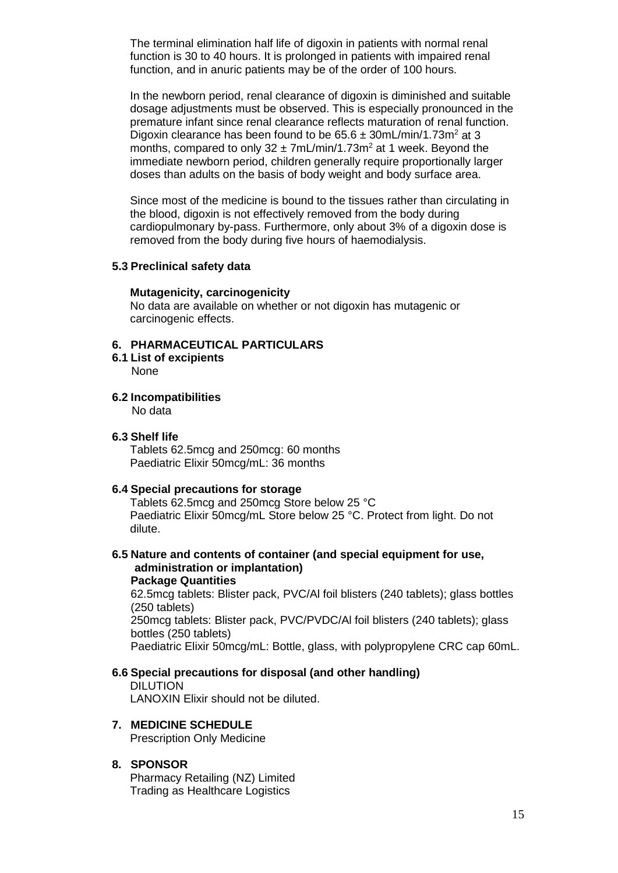The terminal elimination half life of digoxin in patients with normal renal function is 30 to 40 hours. It is prolonged in patients with impaired renal function, and in anuric patients may be of the order of 100 hours.

In the newborn period, renal clearance of digoxin is diminished and suitable dosage adjustments must be observed. This is especially pronounced in the premature infant since renal clearance reflects maturation of renal function. Digoxin clearance has been found to be  $65.6 \pm 30$ mL/min/1.73m<sup>2</sup> at 3 months, compared to only  $32 \pm 7$ mL/min/1.73m<sup>2</sup> at 1 week. Beyond the immediate newborn period, children generally require proportionally larger doses than adults on the basis of body weight and body surface area.

Since most of the medicine is bound to the tissues rather than circulating in the blood, digoxin is not effectively removed from the body during cardiopulmonary by-pass. Furthermore, only about 3% of a digoxin dose is removed from the body during five hours of haemodialysis.

## **5.3 Preclinical safety data**

## **Mutagenicity, carcinogenicity**

No data are available on whether or not digoxin has mutagenic or carcinogenic effects.

## **6. PHARMACEUTICAL PARTICULARS**

**6.1 List of excipients**

None

- **6.2 Incompatibilities** No data
- **6.3 Shelf life**

Tablets 62.5mcg and 250mcg: 60 months Paediatric Elixir 50mcg/mL: 36 months

## **6.4 Special precautions for storage**

Tablets 62.5mcg and 250mcg Store below 25 °C Paediatric Elixir 50mcg/mL Store below 25 °C. Protect from light. Do not dilute.

**6.5 Nature and contents of container (and special equipment for use, administration or implantation)**

**Package Quantities** 62.5mcg tablets: Blister pack, PVC/Al foil blisters (240 tablets); glass bottles (250 tablets) 250mcg tablets: Blister pack, PVC/PVDC/Al foil blisters (240 tablets); glass bottles (250 tablets) Paediatric Elixir 50mcg/mL: Bottle, glass, with polypropylene CRC cap 60mL.

# **6.6 Special precautions for disposal (and other handling)**

DILUTION LANOXIN Elixir should not be diluted.

**7. MEDICINE SCHEDULE** Prescription Only Medicine

## **8. SPONSOR**

Pharmacy Retailing (NZ) Limited Trading as Healthcare Logistics